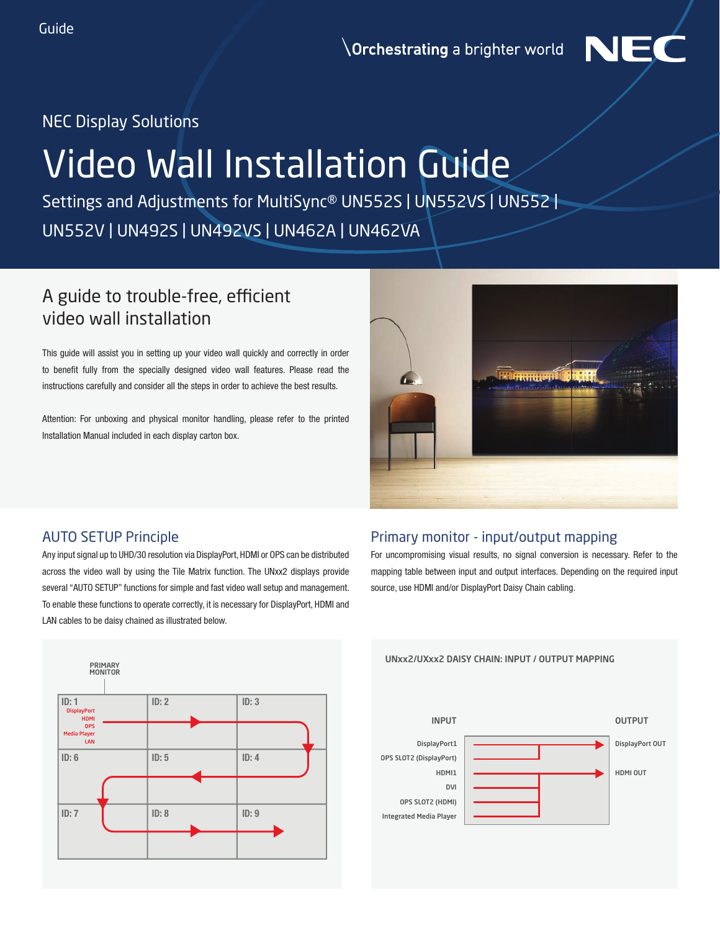**Orchestrating** a brighter world



# NEC Display Solutions

# Video Wall Installation Guide

Settings and Adjustments for MultiSync® UN552S | UN552VS | UN552 | UN552V | UN492S | UN492VS | UN462A | UN462VA

# A guide to trouble-free, efficient video wall installation

This guide will assist you in setting up your video wall quickly and correctly in order to benefit fully from the specially designed video wall features. Please read the instructions carefully and consider all the steps in order to achieve the best results.

Attention: For unboxing and physical monitor handling, please refer to the printed Installation Manual included in each display carton box.



# AUTO SETUP Principle

Any input signal up to UHD/30 resolution via DisplayPort, HDMI or OPS can be distributed across the video wall by using the Tile Matrix function. The UNxx2 displays provide several "AUTO SETUP" functions for simple and fast video wall setup and management. To enable these functions to operate correctly, it is necessary for DisplayPort, HDMI and LAN cables to be daisy chained as illustrated below.

# Primary monitor - input/output mapping

For uncompromising visual results, no signal conversion is necessary. Refer to the mapping table between input and output interfaces. Depending on the required input source, use HDMI and/or DisplayPort Daisy Chain cabling.



UNxx2/UXxx2 DAISY CHAIN: INPUT / OUTPUT MAPPING

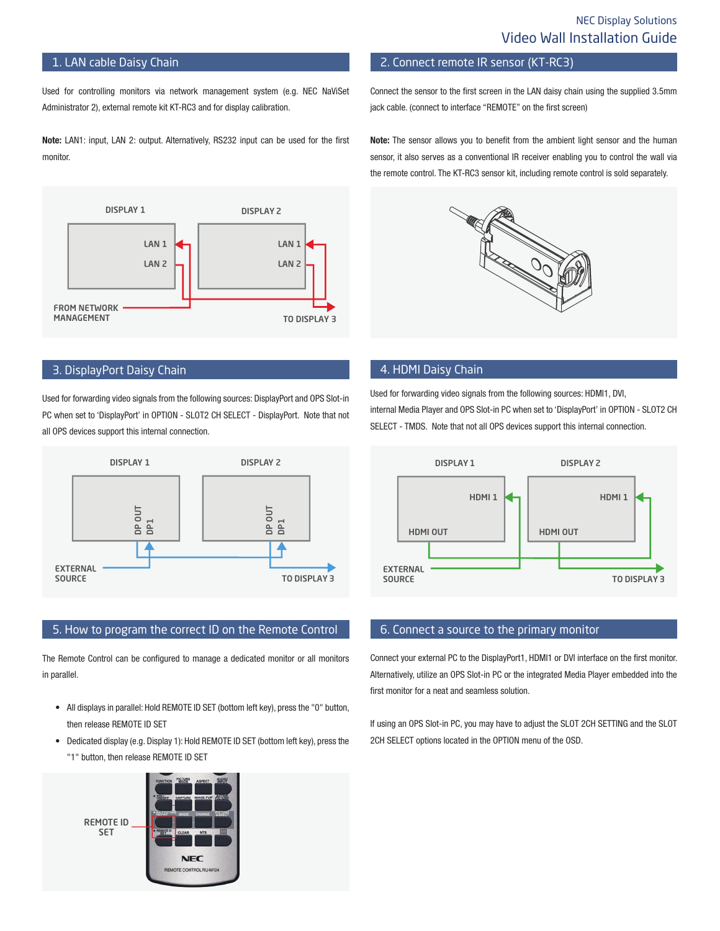## 1. LAN cable Daisy Chain

Used for controlling monitors via network management system (e.g. NEC NaViSet Administrator 2), external remote kit KT-RC3 and for display calibration.

Note: LAN1: input, LAN 2: output. Alternatively, RS232 input can be used for the first monitor.



#### 3. DisplayPort Daisy Chain

Used for forwarding video signals from the following sources: DisplayPort and OPS Slot-in PC when set to 'DisplayPort' in OPTION - SLOT2 CH SELECT - DisplayPort. Note that not all OPS devices support this internal connection.



#### 5. How to program the correct ID on the Remote Control

The Remote Control can be configured to manage a dedicated monitor or all monitors in parallel.

- All displays in parallel: Hold REMOTE ID SET (bottom left key), press the "0" button, then release REMOTE ID SET
- Dedicated display (e.g. Display 1): Hold REMOTE ID SET (bottom left key), press the "1" button, then release REMOTE ID SET



2. Connect remote IR sensor (KT-RC3)

Connect the sensor to the first screen in the LAN daisy chain using the supplied 3.5mm jack cable. (connect to interface "REMOTE" on the first screen)

Note: The sensor allows you to benefit from the ambient light sensor and the human sensor, it also serves as a conventional IR receiver enabling you to control the wall via the remote control. The KT-RC3 sensor kit, including remote control is sold separately.



## 4. HDMI Daisy Chain

Used for forwarding video signals from the following sources: HDMI1, DVI, internal Media Player and OPS Slot-in PC when set to 'DisplayPort' in OPTION - SLOT2 CH SELECT - TMDS. Note that not all OPS devices support this internal connection.



## 6. Connect a source to the primary monitor

Connect your external PC to the DisplayPort1, HDMI1 or DVI interface on the first monitor. Alternatively, utilize an OPS Slot-in PC or the integrated Media Player embedded into the first monitor for a neat and seamless solution.

If using an OPS Slot-in PC, you may have to adjust the SLOT 2CH SETTING and the SLOT 2CH SELECT options located in the OPTION menu of the OSD.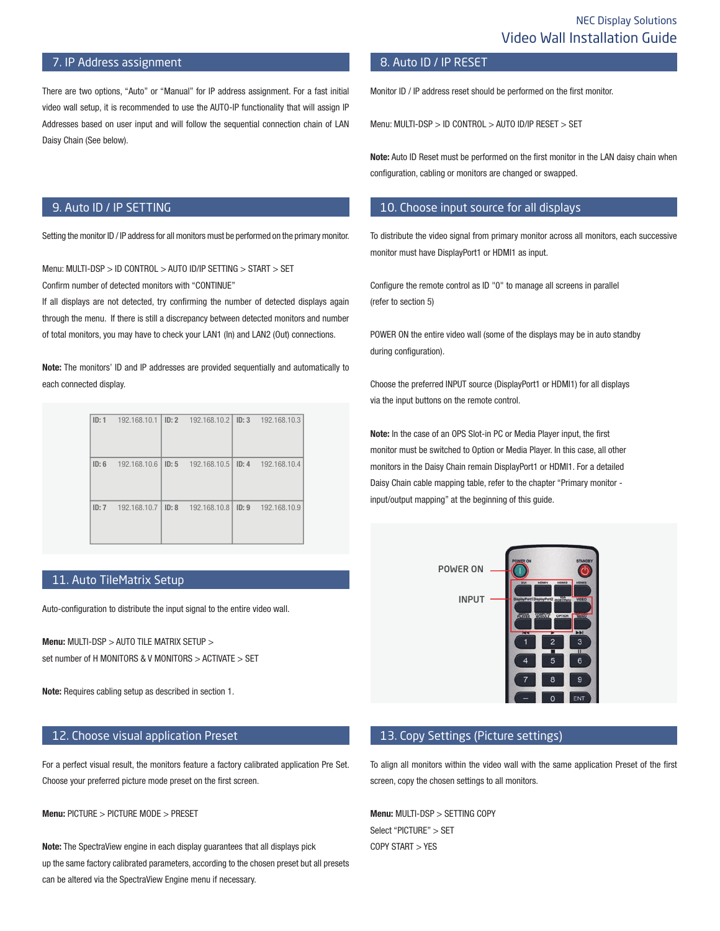## 7. IP Address assignment

There are two options, "Auto" or "Manual" for IP address assignment. For a fast initial video wall setup, it is recommended to use the AUTO-IP functionality that will assign IP Addresses based on user input and will follow the sequential connection chain of LAN Daisy Chain (See below).

## 8. Auto ID / IP RESET

Monitor ID / IP address reset should be performed on the first monitor.

Menu: MULTI-DSP > ID CONTROL > AUTO ID/IP RESET > SET

Note: Auto ID Reset must be performed on the first monitor in the LAN daisy chain when configuration, cabling or monitors are changed or swapped.

## 10. Choose input source for all displays

To distribute the video signal from primary monitor across all monitors, each successive monitor must have DisplayPort1 or HDMI1 as input.

Configure the remote control as ID "0" to manage all screens in parallel (refer to section 5)

POWER ON the entire video wall (some of the displays may be in auto standby during configuration).

Choose the preferred INPUT source (DisplayPort1 or HDMI1) for all displays via the input buttons on the remote control.

Note: In the case of an OPS Slot-in PC or Media Player input, the first monitor must be switched to Option or Media Player. In this case, all other monitors in the Daisy Chain remain DisplayPort1 or HDMI1. For a detailed Daisy Chain cable mapping table, refer to the chapter "Primary monitor input/output mapping" at the beginning of this guide.



#### 13. Copy Settings (Picture settings)

To align all monitors within the video wall with the same application Preset of the first screen, copy the chosen settings to all monitors.

Menu: MULTI-DSP > SETTING COPY Select "PICTURE" > SET COPY START > YES

## 9. Auto ID / IP SETTING

Setting the monitor ID / IP address for all monitors must be performed on the primary monitor.

Menu: MULTI-DSP > ID CONTROL > AUTO ID/IP SETTING > START > SET Confirm number of detected monitors with "CONTINUE"

If all displays are not detected, try confirming the number of detected displays again through the menu. If there is still a discrepancy between detected monitors and number of total monitors, you may have to check your LAN1 (In) and LAN2 (Out) connections.

Note: The monitors' ID and IP addresses are provided sequentially and automatically to each connected display.

| ID: 1 | 192.168.10.1 | ID: 2 | 192.168.10.2 | ID: 3 | 192.168.10.3 |
|-------|--------------|-------|--------------|-------|--------------|
| ID: 6 | 192.168.10.6 | ID: 5 | 192.168.10.5 | ID: 4 | 192.168.10.4 |
| ID: 7 | 192.168.10.7 | ID: 8 | 192.168.10.8 | ID: 9 | 192.168.10.9 |

## 11. Auto TileMatrix Setup

Auto-configuration to distribute the input signal to the entire video wall.

Menu: MULTI-DSP > AUTO TILE MATRIX SETUP > set number of H MONITORS & V MONITORS > ACTIVATE > SET

Note: Requires cabling setup as described in section 1.

## 12. Choose visual application Preset

For a perfect visual result, the monitors feature a factory calibrated application Pre Set. Choose your preferred picture mode preset on the first screen.

Menu: PICTURE > PICTURE MODE > PRESET

Note: The SpectraView engine in each display guarantees that all displays pick up the same factory calibrated parameters, according to the chosen preset but all presets can be altered via the SpectraView Engine menu if necessary.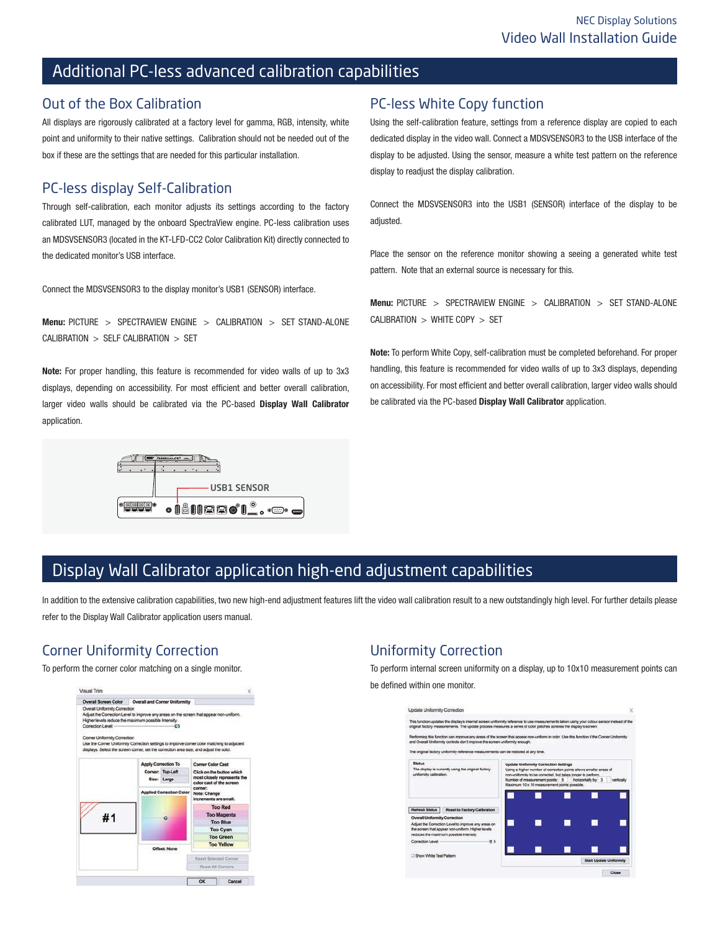# Additional PC-less advanced calibration capabilities

## Out of the Box Calibration

All displays are rigorously calibrated at a factory level for gamma, RGB, intensity, white point and uniformity to their native settings. Calibration should not be needed out of the box if these are the settings that are needed for this particular installation.

# PC-less display Self-Calibration

Through self-calibration, each monitor adjusts its settings according to the factory calibrated LUT, managed by the onboard SpectraView engine. PC-less calibration uses an MDSVSENSOR3 (located in the KT-LFD-CC2 Color Calibration Kit) directly connected to the dedicated monitor's USB interface.

Connect the MDSVSENSOR3 to the display monitor's USB1 (SENSOR) interface.

Menu: PICTURE > SPECTRAVIEW ENGINE > CALIBRATION > SET STAND-ALONE CALIBRATION > SELF CALIBRATION > SET

Note: For proper handling, this feature is recommended for video walls of up to 3x3 displays, depending on accessibility. For most efficient and better overall calibration, larger video walls should be calibrated via the PC-based Display Wall Calibrator application.



# PC-less White Copy function

Using the self-calibration feature, settings from a reference display are copied to each dedicated display in the video wall. Connect a MDSVSENSOR3 to the USB interface of the display to be adjusted. Using the sensor, measure a white test pattern on the reference display to readjust the display calibration.

Connect the MDSVSENSOR3 into the USB1 (SENSOR) interface of the display to be adjusted.

Place the sensor on the reference monitor showing a seeing a generated white test pattern. Note that an external source is necessary for this.

Menu: PICTURE > SPECTRAVIEW ENGINE > CALIBRATION > SET STAND-ALONE CALIBRATION > WHITE COPY > SET

Note: To perform White Copy, self-calibration must be completed beforehand. For proper handling, this feature is recommended for video walls of up to 3x3 displays, depending on accessibility. For most efficient and better overall calibration, larger video walls should be calibrated via the PC-based Display Wall Calibrator application.

# Display Wall Calibrator application high-end adjustment capabilities

In addition to the extensive calibration capabilities, two new high-end adjustment features lift the video wall calibration result to a new outstandingly high level. For further details please refer to the Display Wall Calibrator application users manual.

# Corner Uniformity Correction

To perform the corner color matching on a single monitor.



# Uniformity Correction

To perform internal screen uniformity on a display, up to 10x10 measurement points can be defined within one monitor.